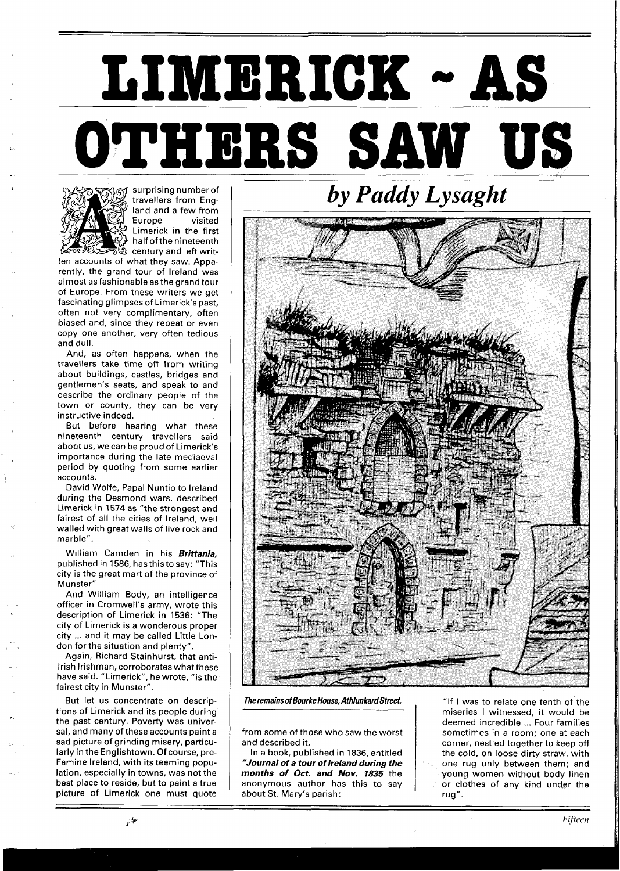## **LIMERICK** - **AS** ,.- **OTHERS SAW US**



surprising numberof travellers from England and a few from Europe visited Limerick in the first half ofthe nineteenth  $\mathbb{S} \mathbb{G}$  century and left writ-

ten accounts of what they saw. Apparently, the grand tour of Ireland was almost as fashionable as the grand tour of Europe. From these writers we get fascinating glimpses of Limerick's past, often not very complimentary, often biased and, since they repeat or even copy one another, very often tedious and dull.

And, as often happens, when the travellers take time off from writing about buildings, castles, bridges and gentlemen's seats, and speak to and describe the ordinary people of the town or county, they can be very instructive indeed.

But before hearing what these nineteenth century travellers said about us, we can be proud of Limerick's importance during the late mediaeval period by quoting from some earlier accounts.

David Wolfe, Papal Nuntio to lreland during the Desmond wars, described Limerick in 1574 as "the strongest and fairest of all the cities of Ireland, well walled with great walls of live rock and marble".

William Camden in his **Brittania,**  published in 1586, hasthisto say: "This city is the great mart of the province of Munster".

And William Body, an intelligence officer in Cromwell's army, wrote this description of Limerick in 1536: "The city of Limerick is a wonderous proper city ... and it may be called Little London for the situation and plenty".

Again, Richard Stainhurst, that anti-Irish Irishman, corroborates what these have said. "Limerick", he wrote, "is the fairest city in Munster".

But let us concentrate on descriptions of Limerick and its people during the past century. Poverty was universal, and many of these accounts paint a sad picture of grinding misery, particularly in the Englishtown. Of course, pre-Famine Ireland, with its teeming population, especially in towns, was not the best place to reside, but to paint a true picture of Limerick one must quote

*by Paddy Lysaght* 

**The remains of Bourke House, Athlunkard Street,** 

from some of those who saw the worst and described it.

In a book, published in 1836, entitled **"Journal of a tour of Ireland during the months of Oct. and Nov. 1835** the anonymous author has this to say about St. Mary's parish:

"If l was to relate one tenth of the miseries I witnessed, it would be deemed incredible ... Four families sometimes in a room; one at each corner, nestled together to keep off the cold, on loose dirty straw, with one rug only between them; and young women without body linen or clothes of any kind under the rug".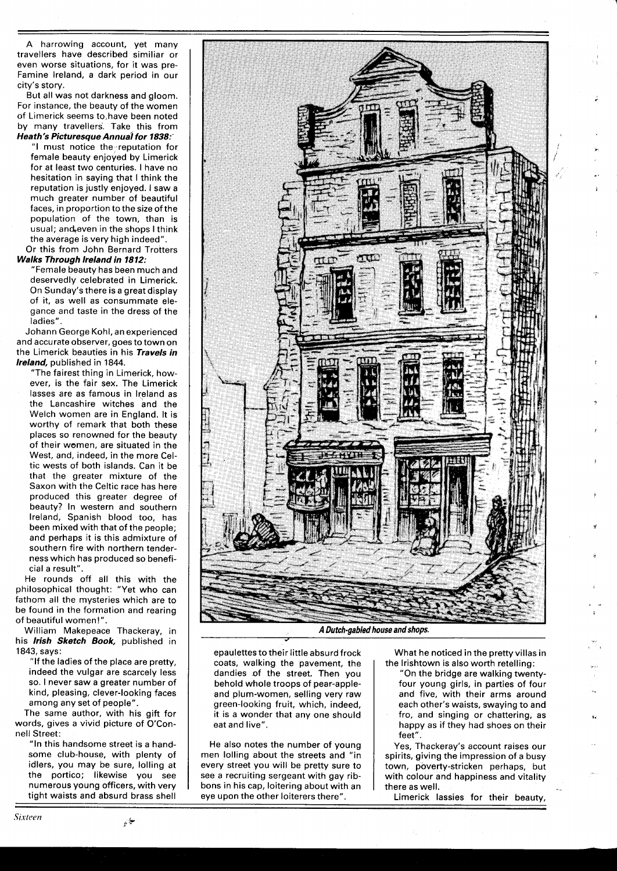A harrowing account, yet many travellers have described similiar or even worse situations, for it was pre-Famine Ireland, a dark period in our city's story.

But all was not darkness and gloom. For instance, the beauty of the women of Limerick seems to have been noted by many travellers. Take this from **Heath's Picturesque Annual for 1838:** 

"I must notice the reputation for female beauty enjoyed by Limerick for at least two centuries. I have no hesitation in saying that I think the reputation is justly enjoyed. I saw a much greater number of beautiful faces, in proportion to the size of the population of the town, than is usual; and even in the shops I think the average is very high indeed".

Or this from John Bernard Trotters **Walks Through lreland in 1812:** 

"Female beauty has been much and deservedly celebrated in Limerick. On Sunday's there is a great display of it, as well as consummate elegance and taste in the dress of the ladies".

Johann George Kohl, an experienced and accurate observer, goes to town on the Limerick beauties in his **Travels in Ireland,** published in 1844.

"The fairest thing in Limerick, however, is the fair sex. The Limerick lasses are as famous in Ireland as the Lancashire witches and the Welch women are in England. It is worthy of remark that both these places so renowned for the beauty of their women, are situated in the West, and, indeed, in the more Celtic wests of both islands. Can it be that the greater mixture of the Saxon with the Celtic race has here produced this greater degree of beauty? In western and southern Ireland, Spanish blood too, has been mixed with that of the people; and perhaps it is this admixture of southern fire with northern tenderness which has produced so beneficial a result".

He rounds off all this with the philosophical thought: "Yet who can fathom all the mysteries which are to be found in the formation and rearing of beautiful women!".

William Makepeace Thackeray, in his **Irish Sketch Book,** published in 1843, says:

"If the ladies of the place are pretty, indeed the vulgar are scarcely less so. I never saw a greater number of kind, pleasing, clever-looking faces among any set of people".

The same author, with his gift for words, gives a vivid picture of O'Connell Street:

"In this handsome street is a handsome club-house, with plenty of idlers, you may be sure, lolling at the portico; likewise you see numerous young officers, with very tight waists and absurd brass shell



**A Dutch-gabled house and shops.** 

epaulettes to their little absurd frock coats, walking the pavement, the dandies of the street. Then you behold whole troops of pear-appleand plum-women, selling very raw green-looking fruit, which, indeed, it is a wonder that any one should eat and live".

He also notes the number of young men lolling about the streets and "in every street you will be pretty sure to see a recruiting sergeant with gay ribbons in his cap, loitering about with an eye upon the other loiterers there".

What he noticed in the pretty villas in the lrishtown is also worth retelling:

"On the bridge are walking twentyfour young girls, in parties of four and five, with their arms around each other's waists, swaying to and fro, and singing or chattering, as happy as if they had shoes on their feet".

Yes, Thackeray's account raises our spirits, giving the impression of a busy town, poverty-stricken perhaps, but with colour and happiness and vitality there as well.

Limerick lassies for their beauty,